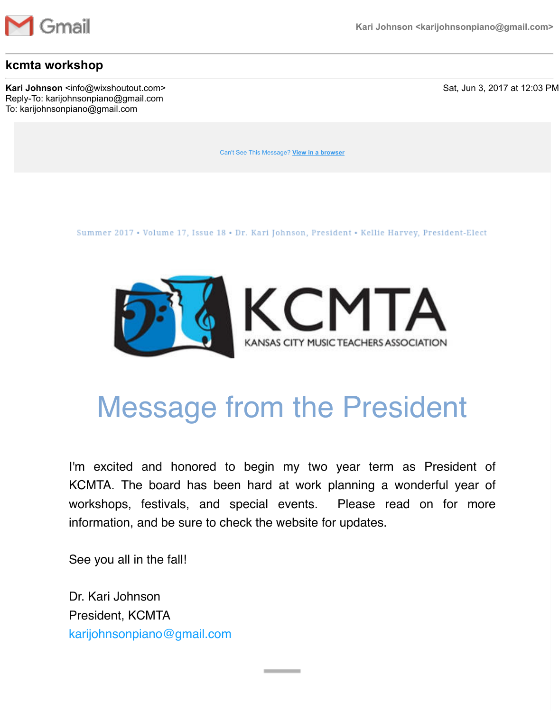

#### **kcmta workshop**

**Kari Johnson** <info@wixshoutout.com> Sat, Jun 3, 2017 at 12:03 PM Reply-To: karijohnsonpiano@gmail.com To: karijohnsonpiano@gmail.com

[Can't See This Message?](https://u3348031.ct.sendgrid.net/wf/click?upn=tHuW7lPTw1DJptXufd2Jvx09cku3NuHJ4pB5170RR75cZHc-2FEiEa2CoOBc-2BkZRTySor1Ip1zSDmfH34AKxqXNw-3D-3D_nmpVXvc32chkE2E-2BFO9Rc6OAbXJiUjbWUW1283OOWaA5sJMssJn6azBm-2BQ8Pa0X0f3xvcYaheqfRVCanKaKcid1JuRT-2Fkh4nilidhj2NpHMYt8IjJ1C3cNhtf8pXXj7Om5Ip5rfbZy-2BSgCg1oS6nzZFVSpT1QOjct-2FXBhWtA3iOi5QGEeuMhR-2BY7jvT-2BGZ5oUz-2FcwaJg1p2QwkEFp8blcBZxyGss2Ft1svcdKyuJ0SgreReO6J-2B5RpBZ-2F9Qxejoxz-2BpuXOH5G5iQUJKcTj-2FEpOS4mRyloXx86KNCam-2B0-2BVH1EQMLBxF4qwt490y4M9Cj) **View in a browser**

Summer 2017 • Volume 17, Issue 18 • Dr. Kari Johnson, President • Kellie Harvey, President-Elect



## Message from the President

I'm excited and honored to begin my two year term as President of KCMTA. The board has been hard at work planning a wonderful year of workshops, festivals, and special events. Please read on for more information, and be sure to check the website for updates.

See you all in the fall!

Dr. Kari Johnson President, KCMTA [karijohnsonpiano@gmail.com](mailto:karijohnsonpiano@gmail.com)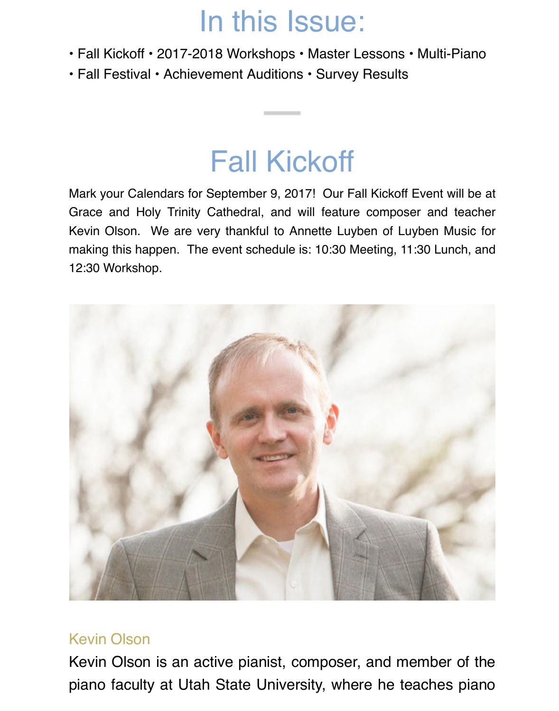## In this Issue:

- Fall Kickoff 2017-2018 Workshops Master Lessons Multi-Piano
- Fall Festival Achievement Auditions Survey Results

### Fall Kickoff

Mark your Calendars for September 9, 2017! Our Fall Kickoff Event will be at Grace and Holy Trinity Cathedral, and will feature composer and teacher Kevin Olson. We are very thankful to Annette Luyben of Luyben Music for making this happen. The event schedule is: 10:30 Meeting, 11:30 Lunch, and 12:30 Workshop.



#### Kevin Olson

Kevin Olson is an active pianist, composer, and member of the piano faculty at Utah State University, where he teaches piano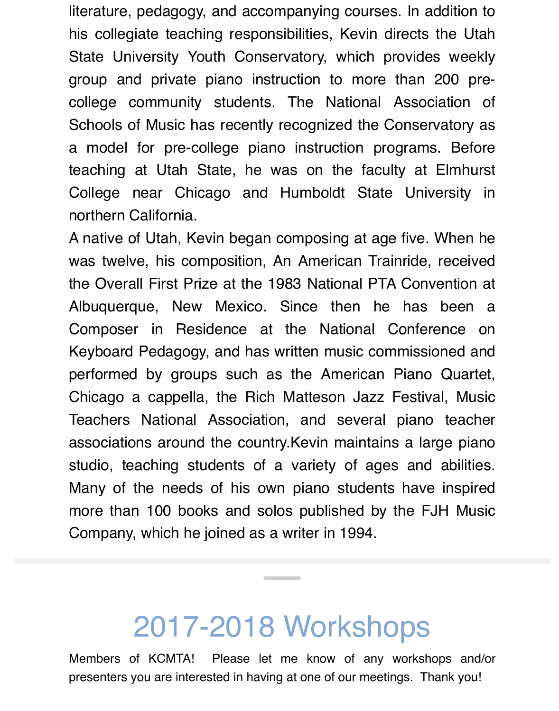literature, pedagogy, and accompanying courses. In addition to his collegiate teaching responsibilities, Kevin directs the Utah State University Youth Conservatory, which provides weekly group and private piano instruction to more than 200 precollege community students. The National Association of Schools of Music has recently recognized the Conservatory as a model for pre-college piano instruction programs. Before teaching at Utah State, he was on the faculty at Elmhurst College near Chicago and Humboldt State University in northern California.

A native of Utah, Kevin began composing at age five. When he was twelve, his composition, An American Trainride, received the Overall First Prize at the 1983 National PTA Convention at Albuquerque, New Mexico. Since then he has been a Composer in Residence at the National Conference on Keyboard Pedagogy, and has written music commissioned and performed by groups such as the American Piano Quartet, Chicago a cappella, the Rich Matteson Jazz Festival, Music Teachers National Association, and several piano teacher associations around the country.Kevin maintains a large piano studio, teaching students of a variety of ages and abilities. Many of the needs of his own piano students have inspired more than 100 books and solos published by the FJH Music Company, which he joined as a writer in 1994.

### 2017-2018 Workshops

Members of KCMTA! Please let me know of any workshops and/or presenters you are interested in having at one of our meetings. Thank you!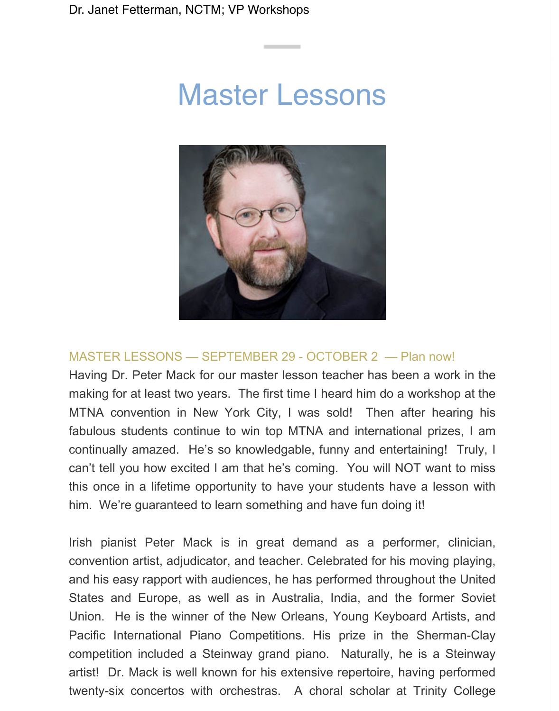## Master Lessons



#### MASTER LESSONS — SEPTEMBER 29 - OCTOBER 2 — Plan now!

Having Dr. Peter Mack for our master lesson teacher has been a work in the making for at least two years. The first time I heard him do a workshop at the MTNA convention in New York City, I was sold! Then after hearing his fabulous students continue to win top MTNA and international prizes, I am continually amazed. He's so knowledgable, funny and entertaining! Truly, I can't tell you how excited I am that he's coming. You will NOT want to miss this once in a lifetime opportunity to have your students have a lesson with him. We're guaranteed to learn something and have fun doing it!

Irish pianist Peter Mack is in great demand as a performer, clinician, convention artist, adjudicator, and teacher. Celebrated for his moving playing, and his easy rapport with audiences, he has performed throughout the United States and Europe, as well as in Australia, India, and the former Soviet Union. He is the winner of the New Orleans, Young Keyboard Artists, and Pacific International Piano Competitions. His prize in the Sherman-Clay competition included a Steinway grand piano. Naturally, he is a Steinway artist! Dr. Mack is well known for his extensive repertoire, having performed twenty-six concertos with orchestras. A choral scholar at Trinity College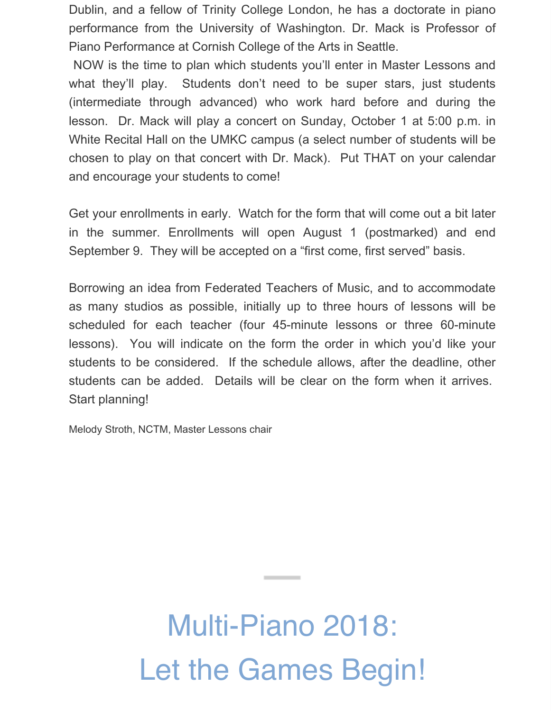Dublin, and a fellow of Trinity College London, he has a doctorate in piano performance from the University of Washington. Dr. Mack is Professor of Piano Performance at Cornish College of the Arts in Seattle.

 NOW is the time to plan which students you'll enter in Master Lessons and what they'll play. Students don't need to be super stars, just students (intermediate through advanced) who work hard before and during the lesson. Dr. Mack will play a concert on Sunday, October 1 at 5:00 p.m. in White Recital Hall on the UMKC campus (a select number of students will be chosen to play on that concert with Dr. Mack). Put THAT on your calendar and encourage your students to come!

Get your enrollments in early. Watch for the form that will come out a bit later in the summer. Enrollments will open August 1 (postmarked) and end September 9. They will be accepted on a "first come, first served" basis.

Borrowing an idea from Federated Teachers of Music, and to accommodate as many studios as possible, initially up to three hours of lessons will be scheduled for each teacher (four 45-minute lessons or three 60-minute lessons). You will indicate on the form the order in which you'd like your students to be considered. If the schedule allows, after the deadline, other students can be added. Details will be clear on the form when it arrives. Start planning!

Melody Stroth, NCTM, Master Lessons chair

# Multi-Piano 2018: Let the Games Begin!

**Contract Contract Contract**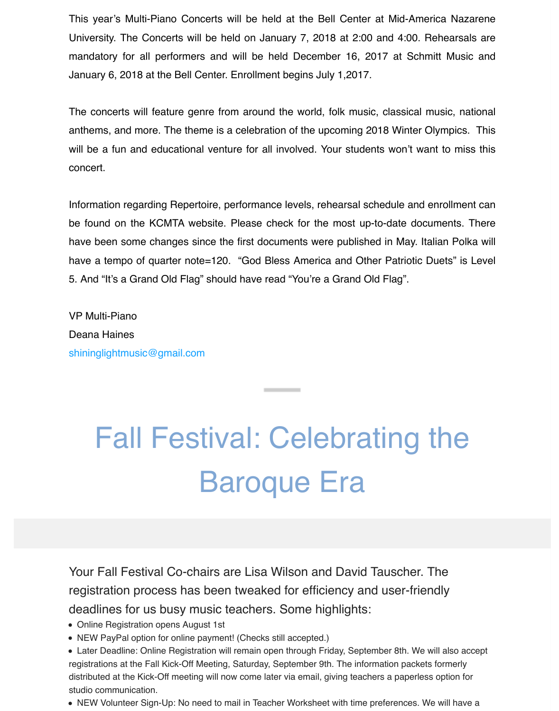This year's Multi-Piano Concerts will be held at the Bell Center at Mid-America Nazarene University. The Concerts will be held on January 7, 2018 at 2:00 and 4:00. Rehearsals are mandatory for all performers and will be held December 16, 2017 at Schmitt Music and January 6, 2018 at the Bell Center. Enrollment begins July 1,2017.

The concerts will feature genre from around the world, folk music, classical music, national anthems, and more. The theme is a celebration of the upcoming 2018 Winter Olympics. This will be a fun and educational venture for all involved. Your students won't want to miss this concert.

Information regarding Repertoire, performance levels, rehearsal schedule and enrollment can be found on the KCMTA website. Please check for the most up-to-date documents. There have been some changes since the first documents were published in May. Italian Polka will have a tempo of quarter note=120. "God Bless America and Other Patriotic Duets" is Level 5. And "It's a Grand Old Flag" should have read "You're a Grand Old Flag".

VP Multi-Piano Deana Haines [shininglightmusic@gmail.com](mailto:shininglightmusic@gmail.com)

# Fall Festival: Celebrating the Baroque Era

Your Fall Festival Co-chairs are Lisa Wilson and David Tauscher. The registration process has been tweaked for efficiency and user-friendly deadlines for us busy music teachers. Some highlights:

- Online Registration opens August 1st
- NEW PayPal option for online payment! (Checks still accepted.)
- Later Deadline: Online Registration will remain open through Friday, September 8th. We will also accept registrations at the Fall Kick-Off Meeting, Saturday, September 9th. The information packets formerly distributed at the Kick-Off meeting will now come later via email, giving teachers a paperless option for studio communication.
- NEW Volunteer Sign-Up: No need to mail in Teacher Worksheet with time preferences. We will have a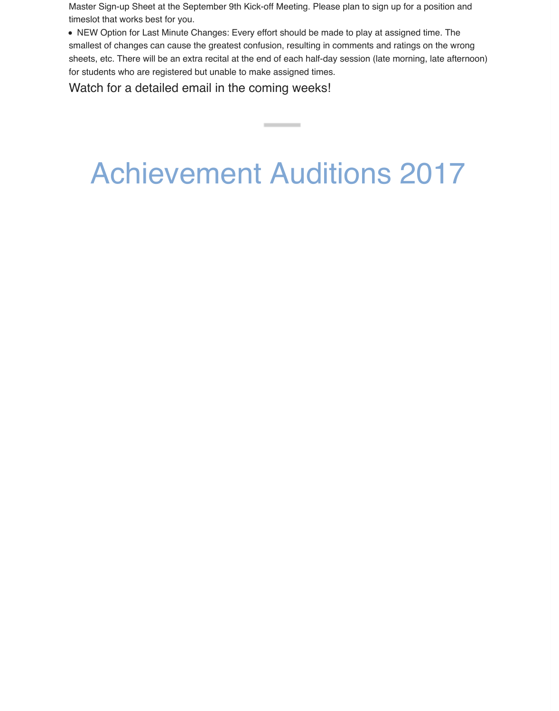Master Sign-up Sheet at the September 9th Kick-off Meeting. Please plan to sign up for a position and timeslot that works best for you.

NEW Option for Last Minute Changes: Every effort should be made to play at assigned time. The smallest of changes can cause the greatest confusion, resulting in comments and ratings on the wrong sheets, etc. There will be an extra recital at the end of each half-day session (late morning, late afternoon) for students who are registered but unable to make assigned times.

Watch for a detailed email in the coming weeks!

## Achievement Auditions 2017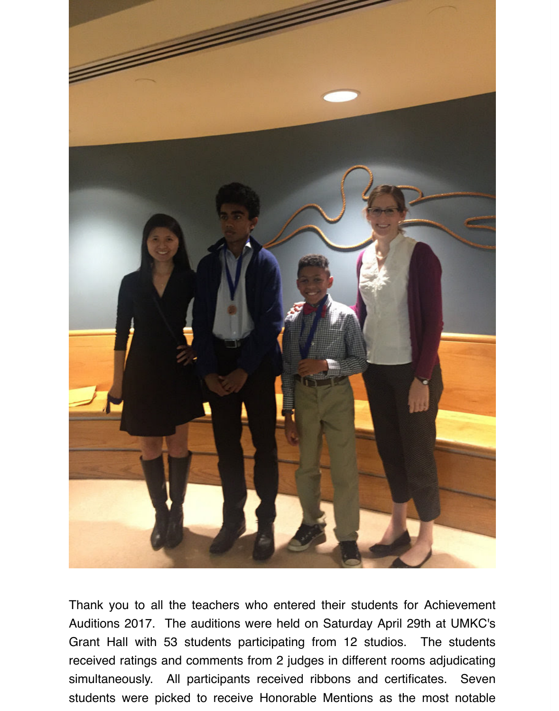

Thank you to all the teachers who entered their students for Achievement Auditions 2017. The auditions were held on Saturday April 29th at UMKC's Grant Hall with 53 students participating from 12 studios. The students received ratings and comments from 2 judges in different rooms adjudicating simultaneously. All participants received ribbons and certificates. Seven students were picked to receive Honorable Mentions as the most notable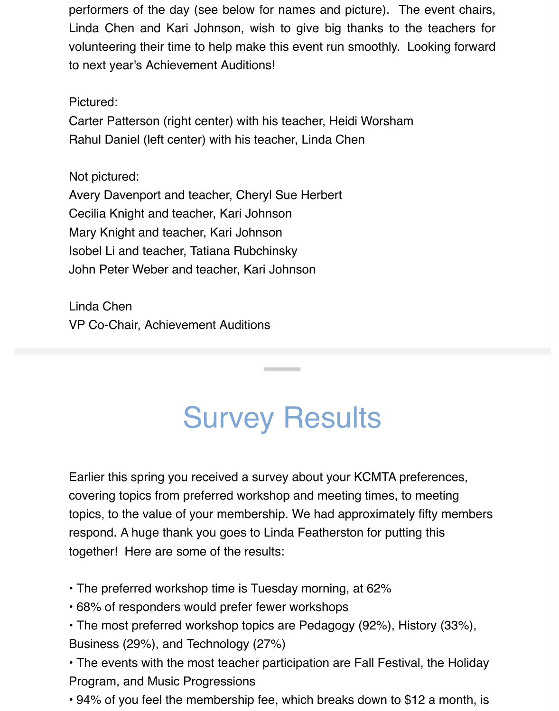performers of the day (see below for names and picture). The event chairs, Linda Chen and Kari Johnson, wish to give big thanks to the teachers for volunteering their time to help make this event run smoothly. Looking forward to next year's Achievement Auditions!

#### Pictured:

Carter Patterson (right center) with his teacher, Heidi Worsham Rahul Daniel (left center) with his teacher, Linda Chen

Not pictured:

Avery Davenport and teacher, Cheryl Sue Herbert Cecilia Knight and teacher, Kari Johnson Mary Knight and teacher, Kari Johnson Isobel Li and teacher, Tatiana Rubchinsky John Peter Weber and teacher, Kari Johnson

Linda Chen VP Co-Chair, Achievement Auditions

## Survey Results

Earlier this spring you received a survey about your KCMTA preferences, covering topics from preferred workshop and meeting times, to meeting topics, to the value of your membership. We had approximately fifty members respond. A huge thank you goes to Linda Featherston for putting this together! Here are some of the results:

- The preferred workshop time is Tuesday morning, at 62%
- 68% of responders would prefer fewer workshops
- The most preferred workshop topics are Pedagogy (92%), History (33%), Business (29%), and Technology (27%)

• The events with the most teacher participation are Fall Festival, the Holiday Program, and Music Progressions

• 94% of you feel the membership fee, which breaks down to \$12 a month, is